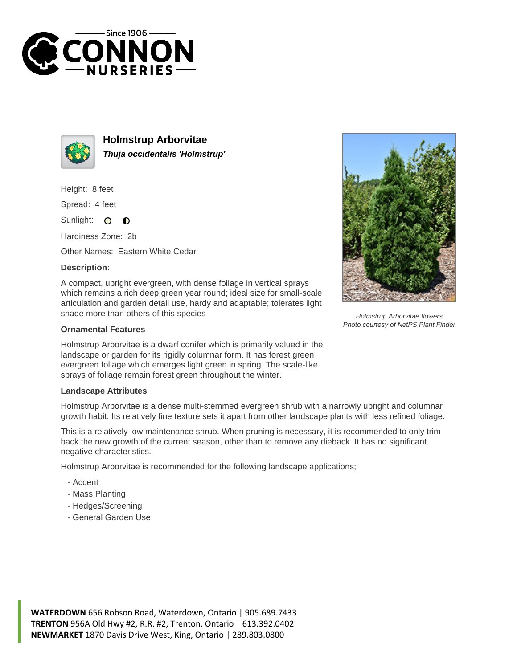



**Holmstrup Arborvitae Thuja occidentalis 'Holmstrup'**

Height: 8 feet

Spread: 4 feet

Sunlight:  $\circ$  $\bullet$ 

Hardiness Zone: 2b

Other Names: Eastern White Cedar

## **Description:**

A compact, upright evergreen, with dense foliage in vertical sprays which remains a rich deep green year round; ideal size for small-scale articulation and garden detail use, hardy and adaptable; tolerates light shade more than others of this species

## **Ornamental Features**

Holmstrup Arborvitae is a dwarf conifer which is primarily valued in the landscape or garden for its rigidly columnar form. It has forest green evergreen foliage which emerges light green in spring. The scale-like sprays of foliage remain forest green throughout the winter.

## **Landscape Attributes**

Holmstrup Arborvitae is a dense multi-stemmed evergreen shrub with a narrowly upright and columnar growth habit. Its relatively fine texture sets it apart from other landscape plants with less refined foliage.

This is a relatively low maintenance shrub. When pruning is necessary, it is recommended to only trim back the new growth of the current season, other than to remove any dieback. It has no significant negative characteristics.

Holmstrup Arborvitae is recommended for the following landscape applications;

- Accent
- Mass Planting
- Hedges/Screening
- General Garden Use



Holmstrup Arborvitae flowers Photo courtesy of NetPS Plant Finder